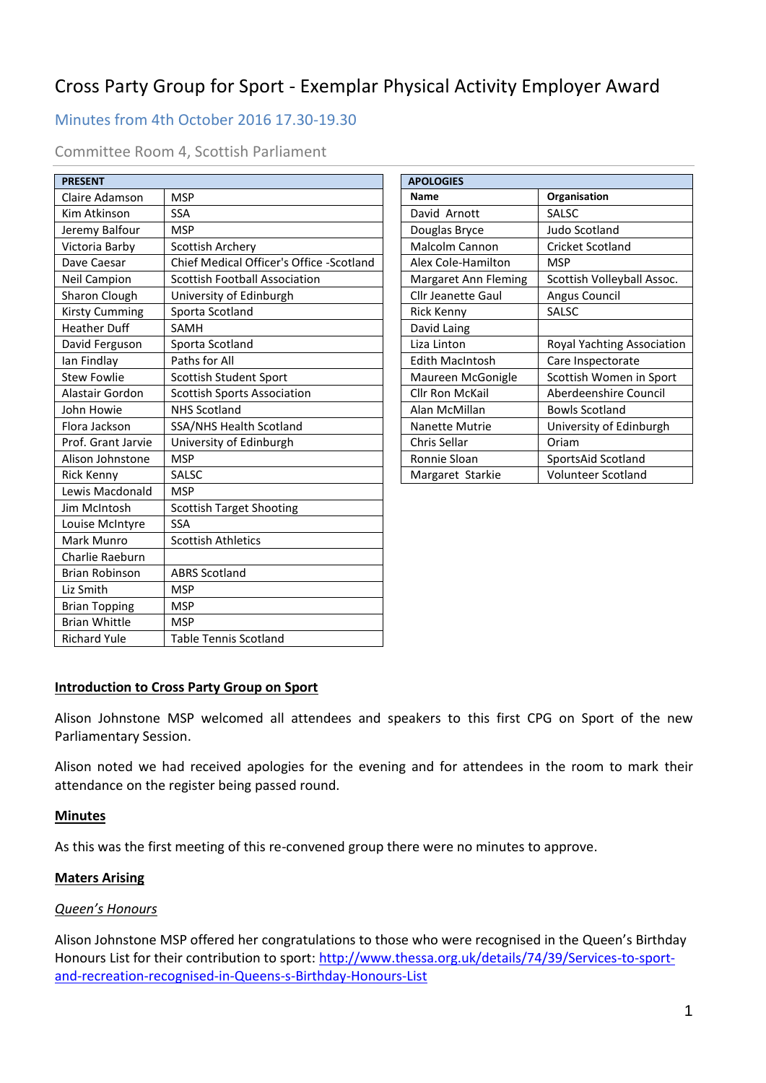# Cross Party Group for Sport - Exemplar Physical Activity Employer Award

# Minutes from 4th October 2016 17.30-19.30

### Committee Room 4, Scottish Parliament

| <b>PRESENT</b>        |                                          | <b>APOLOGIES</b>          |                                   |
|-----------------------|------------------------------------------|---------------------------|-----------------------------------|
| Claire Adamson        | <b>MSP</b>                               | <b>Name</b>               | Organisation                      |
| Kim Atkinson          | <b>SSA</b>                               | David Arnott              | <b>SALSC</b>                      |
| Jeremy Balfour        | <b>MSP</b>                               | Douglas Bryce             | Judo Scotland                     |
| Victoria Barby        | Scottish Archery                         | Malcolm Cannon            | <b>Cricket Scotland</b>           |
| Dave Caesar           | Chief Medical Officer's Office -Scotland | Alex Cole-Hamilton        | <b>MSP</b>                        |
| Neil Campion          | <b>Scottish Football Association</b>     | Margaret Ann Fleming      | Scottish Volleyball Assoc.        |
| Sharon Clough         | University of Edinburgh                  | <b>Cllr Jeanette Gaul</b> | Angus Council                     |
| <b>Kirsty Cumming</b> | Sporta Scotland                          | <b>Rick Kenny</b>         | SALSC                             |
| <b>Heather Duff</b>   | SAMH                                     | David Laing               |                                   |
| David Ferguson        | Sporta Scotland                          | Liza Linton               | <b>Royal Yachting Association</b> |
| lan Findlay           | Paths for All                            | <b>Edith MacIntosh</b>    | Care Inspectorate                 |
| <b>Stew Fowlie</b>    | Scottish Student Sport                   | Maureen McGonigle         | Scottish Women in Sport           |
| Alastair Gordon       | <b>Scottish Sports Association</b>       | <b>Cllr Ron McKail</b>    | Aberdeenshire Council             |
| John Howie            | <b>NHS Scotland</b>                      | Alan McMillan             | <b>Bowls Scotland</b>             |
| Flora Jackson         | SSA/NHS Health Scotland                  | <b>Nanette Mutrie</b>     | University of Edinburgh           |
| Prof. Grant Jarvie    | University of Edinburgh                  | Chris Sellar              | Oriam                             |
| Alison Johnstone      | <b>MSP</b>                               | Ronnie Sloan              | SportsAid Scotland                |
| Rick Kenny            | SALSC                                    | Margaret Starkie          | Volunteer Scotland                |
| Lewis Macdonald       | <b>MSP</b>                               |                           |                                   |
| Jim McIntosh          | <b>Scottish Target Shooting</b>          |                           |                                   |
| Louise McIntyre       | <b>SSA</b>                               |                           |                                   |
| Mark Munro            | <b>Scottish Athletics</b>                |                           |                                   |
| Charlie Raeburn       |                                          |                           |                                   |
| <b>Brian Robinson</b> | <b>ABRS Scotland</b>                     |                           |                                   |
| Liz Smith             | <b>MSP</b>                               |                           |                                   |
| <b>Brian Topping</b>  | <b>MSP</b>                               |                           |                                   |
| <b>Brian Whittle</b>  | <b>MSP</b>                               |                           |                                   |
| <b>Richard Yule</b>   | <b>Table Tennis Scotland</b>             |                           |                                   |

| <b>APOLOGIES</b>       |                            |  |  |
|------------------------|----------------------------|--|--|
| <b>Name</b>            | Organisation               |  |  |
| David Arnott           | SALSC                      |  |  |
| Douglas Bryce          | Judo Scotland              |  |  |
| <b>Malcolm Cannon</b>  | Cricket Scotland           |  |  |
| Alex Cole-Hamilton     | MSP                        |  |  |
| Margaret Ann Fleming   | Scottish Volleyball Assoc. |  |  |
| Cllr Jeanette Gaul     | Angus Council              |  |  |
| Rick Kenny             | SALSC                      |  |  |
| David Laing            |                            |  |  |
| Liza Linton            | Royal Yachting Association |  |  |
| Edith MacIntosh        | Care Inspectorate          |  |  |
| Maureen McGonigle      | Scottish Women in Sport    |  |  |
| <b>Cllr Ron McKail</b> | Aberdeenshire Council      |  |  |
| Alan McMillan          | Bowls Scotland             |  |  |
| <b>Nanette Mutrie</b>  | University of Edinburgh    |  |  |
| Chris Sellar           | Oriam                      |  |  |
| Ronnie Sloan           | SportsAid Scotland         |  |  |
| Margaret Starkie       | <b>Volunteer Scotland</b>  |  |  |

#### **Introduction to Cross Party Group on Sport**

Alison Johnstone MSP welcomed all attendees and speakers to this first CPG on Sport of the new Parliamentary Session.

Alison noted we had received apologies for the evening and for attendees in the room to mark their attendance on the register being passed round.

#### **Minutes**

As this was the first meeting of this re-convened group there were no minutes to approve.

#### **Maters Arising**

#### *Queen's Honours*

Alison Johnstone MSP offered her congratulations to those who were recognised in the Queen's Birthday Honours List for their contribution to sport: [http://www.thessa.org.uk/details/74/39/Services-to-sport](http://www.thessa.org.uk/details/74/39/Services-to-sport-and-recreation-recognised-in-Queens-s-Birthday-Honours-List)[and-recreation-recognised-in-Queens-s-Birthday-Honours-List](http://www.thessa.org.uk/details/74/39/Services-to-sport-and-recreation-recognised-in-Queens-s-Birthday-Honours-List)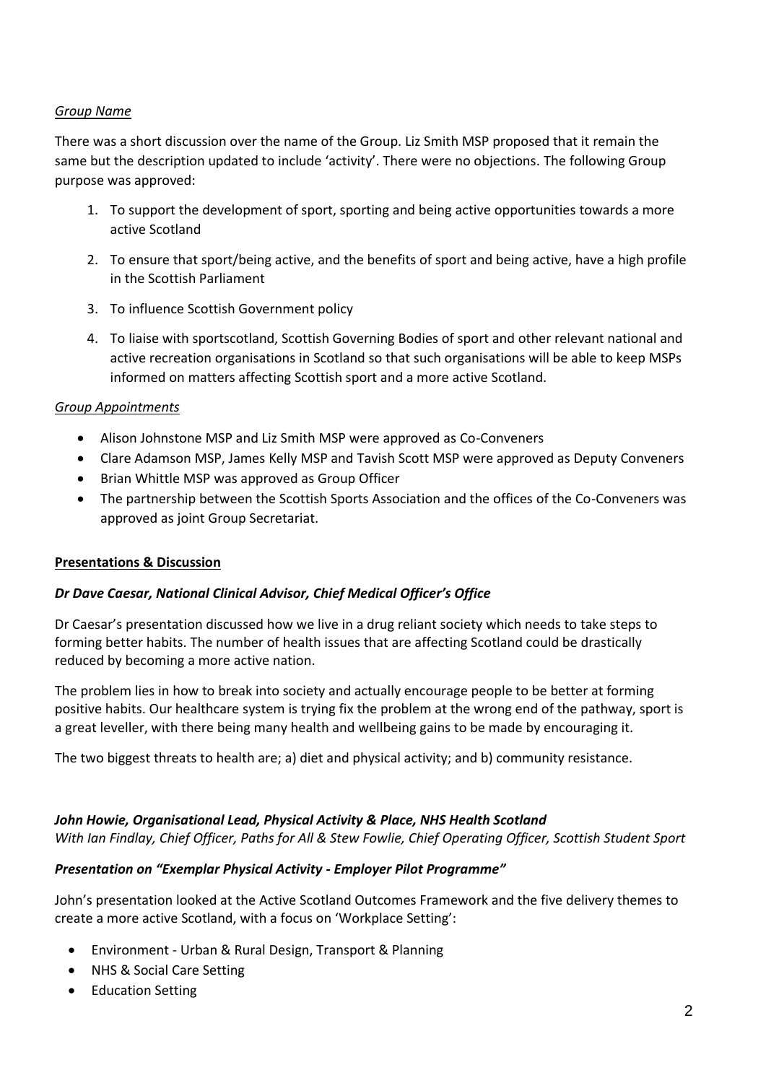# *Group Name*

There was a short discussion over the name of the Group. Liz Smith MSP proposed that it remain the same but the description updated to include 'activity'. There were no objections. The following Group purpose was approved:

- 1. To support the development of sport, sporting and being active opportunities towards a more active Scotland
- 2. To ensure that sport/being active, and the benefits of sport and being active, have a high profile in the Scottish Parliament
- 3. To influence Scottish Government policy
- 4. To liaise with sportscotland, Scottish Governing Bodies of sport and other relevant national and active recreation organisations in Scotland so that such organisations will be able to keep MSPs informed on matters affecting Scottish sport and a more active Scotland.

#### *Group Appointments*

- Alison Johnstone MSP and Liz Smith MSP were approved as Co-Conveners
- Clare Adamson MSP, James Kelly MSP and Tavish Scott MSP were approved as Deputy Conveners
- Brian Whittle MSP was approved as Group Officer
- The partnership between the Scottish Sports Association and the offices of the Co-Conveners was approved as joint Group Secretariat.

#### **Presentations & Discussion**

#### *Dr Dave Caesar, National Clinical Advisor, Chief Medical Officer's Office*

Dr Caesar's presentation discussed how we live in a drug reliant society which needs to take steps to forming better habits. The number of health issues that are affecting Scotland could be drastically reduced by becoming a more active nation.

The problem lies in how to break into society and actually encourage people to be better at forming positive habits. Our healthcare system is trying fix the problem at the wrong end of the pathway, sport is a great leveller, with there being many health and wellbeing gains to be made by encouraging it.

The two biggest threats to health are; a) diet and physical activity; and b) community resistance.

# *John Howie, Organisational Lead, Physical Activity & Place, NHS Health Scotland*

*With Ian Findlay, Chief Officer, Paths for All & Stew Fowlie, Chief Operating Officer, Scottish Student Sport*

#### *Presentation on "Exemplar Physical Activity - Employer Pilot Programme"*

John's presentation looked at the Active Scotland Outcomes Framework and the five delivery themes to create a more active Scotland, with a focus on 'Workplace Setting':

- Environment Urban & Rural Design, Transport & Planning
- NHS & Social Care Setting
- Education Setting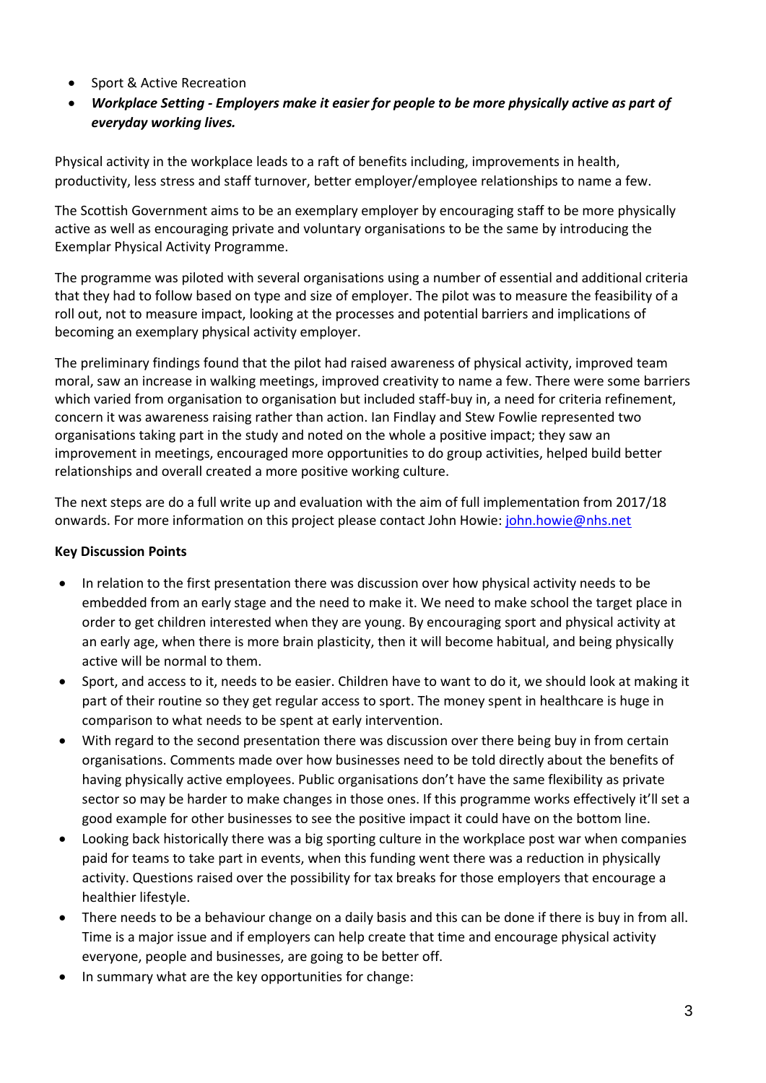- Sport & Active Recreation
- *Workplace Setting - Employers make it easier for people to be more physically active as part of everyday working lives.*

Physical activity in the workplace leads to a raft of benefits including, improvements in health, productivity, less stress and staff turnover, better employer/employee relationships to name a few.

The Scottish Government aims to be an exemplary employer by encouraging staff to be more physically active as well as encouraging private and voluntary organisations to be the same by introducing the Exemplar Physical Activity Programme.

The programme was piloted with several organisations using a number of essential and additional criteria that they had to follow based on type and size of employer. The pilot was to measure the feasibility of a roll out, not to measure impact, looking at the processes and potential barriers and implications of becoming an exemplary physical activity employer.

The preliminary findings found that the pilot had raised awareness of physical activity, improved team moral, saw an increase in walking meetings, improved creativity to name a few. There were some barriers which varied from organisation to organisation but included staff-buy in, a need for criteria refinement, concern it was awareness raising rather than action. Ian Findlay and Stew Fowlie represented two organisations taking part in the study and noted on the whole a positive impact; they saw an improvement in meetings, encouraged more opportunities to do group activities, helped build better relationships and overall created a more positive working culture.

The next steps are do a full write up and evaluation with the aim of full implementation from 2017/18 onwards. For more information on this project please contact John Howie: [john.howie@nhs.net](mailto:john.howie@nhs.net)

# **Key Discussion Points**

- In relation to the first presentation there was discussion over how physical activity needs to be embedded from an early stage and the need to make it. We need to make school the target place in order to get children interested when they are young. By encouraging sport and physical activity at an early age, when there is more brain plasticity, then it will become habitual, and being physically active will be normal to them.
- Sport, and access to it, needs to be easier. Children have to want to do it, we should look at making it part of their routine so they get regular access to sport. The money spent in healthcare is huge in comparison to what needs to be spent at early intervention.
- With regard to the second presentation there was discussion over there being buy in from certain organisations. Comments made over how businesses need to be told directly about the benefits of having physically active employees. Public organisations don't have the same flexibility as private sector so may be harder to make changes in those ones. If this programme works effectively it'll set a good example for other businesses to see the positive impact it could have on the bottom line.
- Looking back historically there was a big sporting culture in the workplace post war when companies paid for teams to take part in events, when this funding went there was a reduction in physically activity. Questions raised over the possibility for tax breaks for those employers that encourage a healthier lifestyle.
- There needs to be a behaviour change on a daily basis and this can be done if there is buy in from all. Time is a major issue and if employers can help create that time and encourage physical activity everyone, people and businesses, are going to be better off.
- In summary what are the key opportunities for change: